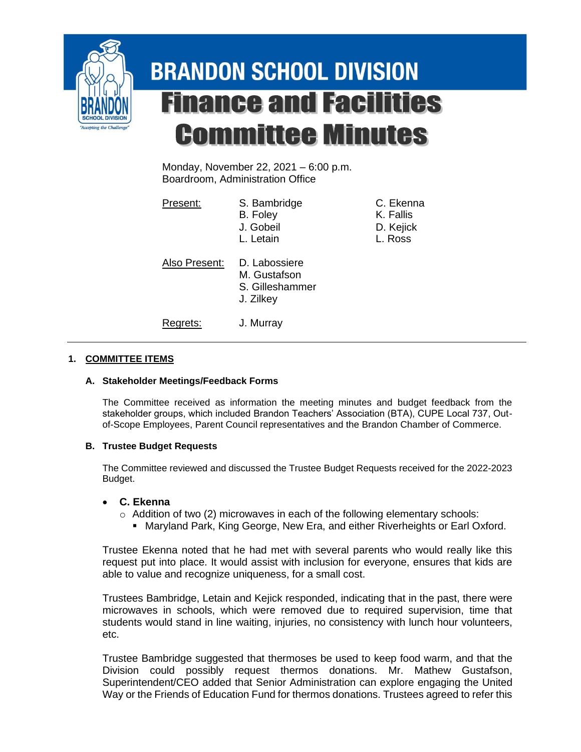

# **BRANDON SCHOOL DIVISION Finance and Facilities Committee Minutes**

Monday, November 22, 2021 – 6:00 p.m. Boardroom, Administration Office

| Present:      | S. Bambridge<br>B. Foley<br>J. Gobeil<br>L. Letain            | C. Ekenna<br>K. Fallis<br>D. Kejick<br>L. Ross |
|---------------|---------------------------------------------------------------|------------------------------------------------|
| Also Present: | D. Labossiere<br>M. Gustafson<br>S. Gilleshammer<br>J. Zilkey |                                                |
| Regrets:      | J. Murray                                                     |                                                |

## **1. COMMITTEE ITEMS**

### **A. Stakeholder Meetings/Feedback Forms**

The Committee received as information the meeting minutes and budget feedback from the stakeholder groups, which included Brandon Teachers' Association (BTA), CUPE Local 737, Outof-Scope Employees, Parent Council representatives and the Brandon Chamber of Commerce.

### **B. Trustee Budget Requests**

The Committee reviewed and discussed the Trustee Budget Requests received for the 2022-2023 Budget.

### • **C. Ekenna**

- $\circ$  Addition of two (2) microwaves in each of the following elementary schools:
	- **Maryland Park, King George, New Era, and either Riverheights or Earl Oxford.**

Trustee Ekenna noted that he had met with several parents who would really like this request put into place. It would assist with inclusion for everyone, ensures that kids are able to value and recognize uniqueness, for a small cost.

Trustees Bambridge, Letain and Kejick responded, indicating that in the past, there were microwaves in schools, which were removed due to required supervision, time that students would stand in line waiting, injuries, no consistency with lunch hour volunteers, etc.

Trustee Bambridge suggested that thermoses be used to keep food warm, and that the Division could possibly request thermos donations. Mr. Mathew Gustafson, Superintendent/CEO added that Senior Administration can explore engaging the United Way or the Friends of Education Fund for thermos donations. Trustees agreed to refer this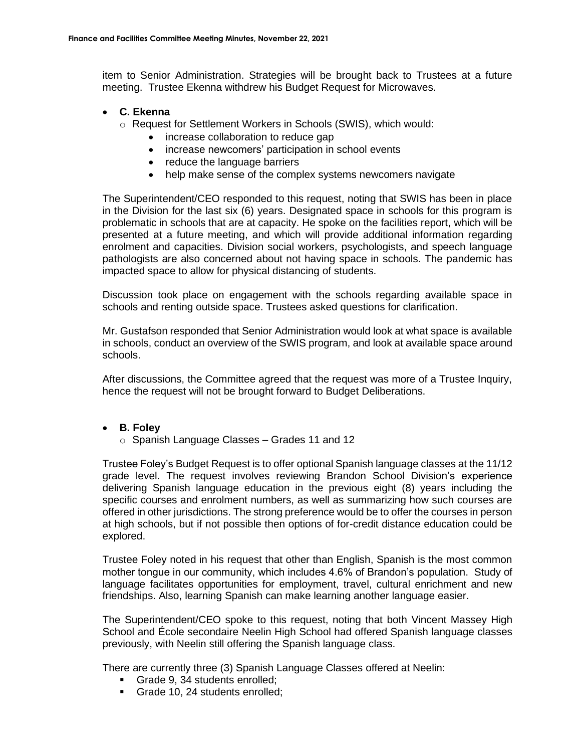item to Senior Administration. Strategies will be brought back to Trustees at a future meeting. Trustee Ekenna withdrew his Budget Request for Microwaves.

### • **C. Ekenna**

- o Request for Settlement Workers in Schools (SWIS), which would:
	- increase collaboration to reduce gap
	- increase newcomers' participation in school events
	- reduce the language barriers
	- help make sense of the complex systems newcomers navigate

The Superintendent/CEO responded to this request, noting that SWIS has been in place in the Division for the last six (6) years. Designated space in schools for this program is problematic in schools that are at capacity. He spoke on the facilities report, which will be presented at a future meeting, and which will provide additional information regarding enrolment and capacities. Division social workers, psychologists, and speech language pathologists are also concerned about not having space in schools. The pandemic has impacted space to allow for physical distancing of students.

Discussion took place on engagement with the schools regarding available space in schools and renting outside space. Trustees asked questions for clarification.

Mr. Gustafson responded that Senior Administration would look at what space is available in schools, conduct an overview of the SWIS program, and look at available space around schools.

After discussions, the Committee agreed that the request was more of a Trustee Inquiry, hence the request will not be brought forward to Budget Deliberations.

### • **B. Foley**

o Spanish Language Classes – Grades 11 and 12

Trustee Foley's Budget Request is to offer optional Spanish language classes at the 11/12 grade level. The request involves reviewing Brandon School Division's experience delivering Spanish language education in the previous eight (8) years including the specific courses and enrolment numbers, as well as summarizing how such courses are offered in other jurisdictions. The strong preference would be to offer the courses in person at high schools, but if not possible then options of for-credit distance education could be explored.

Trustee Foley noted in his request that other than English, Spanish is the most common mother tongue in our community, which includes 4.6% of Brandon's population. Study of language facilitates opportunities for employment, travel, cultural enrichment and new friendships. Also, learning Spanish can make learning another language easier.

The Superintendent/CEO spoke to this request, noting that both Vincent Massey High School and École secondaire Neelin High School had offered Spanish language classes previously, with Neelin still offering the Spanish language class.

There are currently three (3) Spanish Language Classes offered at Neelin:

- Grade 9, 34 students enrolled:
- **EXECUTE:** Grade 10, 24 students enrolled;